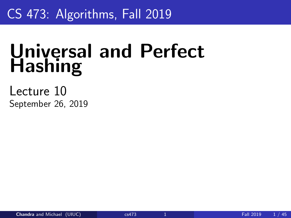## <span id="page-0-0"></span>CS 473: Algorithms, Fall 2019

# Universal and Perfect **Hashing**

Lecture 10 September 26, 2019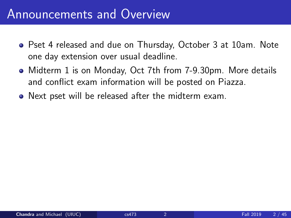#### Announcements and Overview

- Pset 4 released and due on Thursday, October 3 at 10am. Note one day extension over usual deadline.
- Midterm 1 is on Monday, Oct 7th from 7-9.30pm. More details and conflict exam information will be posted on Piazza.
- Next pset will be released after the midterm exam.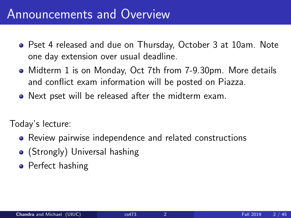#### Announcements and Overview

- Pset 4 released and due on Thursday, October 3 at 10am. Note one day extension over usual deadline.
- Midterm 1 is on Monday, Oct 7th from 7-9.30pm. More details and conflict exam information will be posted on Piazza.
- Next pset will be released after the midterm exam.

Today's lecture:

- Review pairwise independence and related constructions
- (Strongly) Universal hashing
- **•** Perfect hashing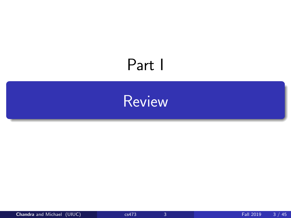# <span id="page-3-0"></span>Part I

# [Review](#page-3-0)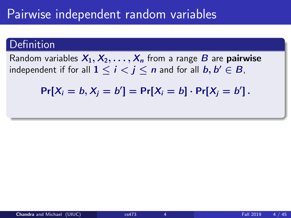#### Pairwise independent random variables

#### Definition

Random variables  $X_1, X_2, \ldots, X_n$  from a range B are **pairwise** independent if for all  $1\leq i< j\leq n$  and for all  $b,b'\in B,$ 

 $Pr[X_i = b, X_j = b'] = Pr[X_i = b] \cdot Pr[X_j = b']$ .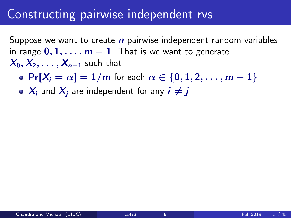#### Constructing pairwise independent rvs

Suppose we want to create  $n$  pairwise independent random variables in range  $0, 1, \ldots, m-1$ . That is we want to generate  $X_0, X_2, \ldots, X_{n-1}$  such that

• Pr $[X_i = \alpha] = 1/m$  for each  $\alpha \in \{0, 1, 2, \ldots, m-1\}$ 

 $\bullet$   $X_i$  and  $X_i$  are independent for any  $i \neq j$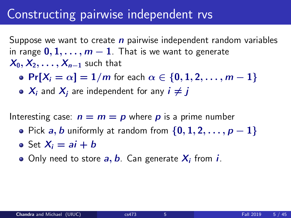#### Constructing pairwise independent rvs

Suppose we want to create  $n$  pairwise independent random variables in range  $0, 1, \ldots, m-1$ . That is we want to generate  $X_0, X_2, \ldots, X_{n-1}$  such that

- Pr $[X_i = \alpha] = 1/m$  for each  $\alpha \in \{0, 1, 2, \ldots, m-1\}$
- $\bullet$   $X_i$  and  $X_i$  are independent for any  $i \neq j$

Interesting case:  $n = m = p$  where p is a prime number

- Pick a, b uniformly at random from  $\{0, 1, 2, \ldots, p-1\}$
- Set  $X_i = ai + bi$
- Only need to store  $a, b$ . Can generate  $X_i$  from  $i$ .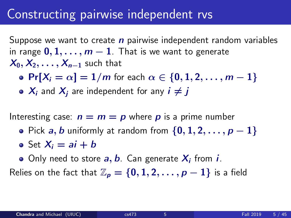#### Constructing pairwise independent rvs

Suppose we want to create  $n$  pairwise independent random variables in range  $0, 1, \ldots, m-1$ . That is we want to generate  $X_0, X_2, \ldots, X_{n-1}$  such that

- Pr $[X_i = \alpha] = 1/m$  for each  $\alpha \in \{0, 1, 2, \ldots, m-1\}$
- $\bullet$   $X_i$  and  $X_i$  are independent for any  $i \neq j$

Interesting case:  $n = m = p$  where p is a prime number

- Pick a, b uniformly at random from  $\{0, 1, 2, \ldots, p-1\}$
- Set  $X_i = ai + bi$
- Only need to store  $a, b$ . Can generate  $X_i$  from  $i$ .

Relies on the fact that  $\mathbb{Z}_p = \{0, 1, 2, \ldots, p-1\}$  is a field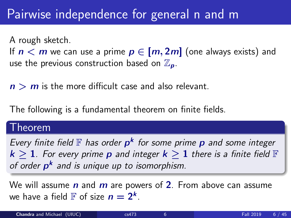#### Pairwise independence for general n and m

A rough sketch.

If  $n < m$  we can use a prime  $p \in [m, 2m]$  (one always exists) and use the previous construction based on  $\mathbb{Z}_n$ .

 $n > m$  is the more difficult case and also relevant.

The following is a fundamental theorem on finite fields.

#### Theorem

Every finite field  $\mathbb F$  has order  $p^k$  for some prime  $p$  and some integer  $k \geq 1$ . For every prime **p** and integer  $k \geq 1$  there is a finite field  $\mathbb{F}$ of order p<sup>k</sup> and is unique up to isomorphism.

We will assume  $n$  and  $m$  are powers of 2. From above can assume we have a field  $\mathbb F$  of size  $n=2^k$ .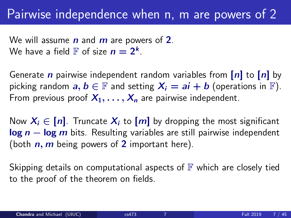We will assume  $n$  and  $m$  are powers of 2. We have a field  $\mathbb F$  of size  $n=2^k$ .

Generate *n* pairwise independent random variables from  $[n]$  to  $[n]$  by picking random  $a, b \in \mathbb{F}$  and setting  $X_i = ai + b$  (operations in  $\mathbb{F}$ ). From previous proof  $X_1, \ldots, X_n$  are pairwise independent.

Now  $X_i \in [n]$ . Truncate  $X_i$  to  $[m]$  by dropping the most significant  $log n - log m$  bits. Resulting variables are still pairwise independent (both  $n$ ,  $m$  being powers of 2 important here).

Skipping details on computational aspects of  $\mathbb F$  which are closely tied to the proof of the theorem on fields.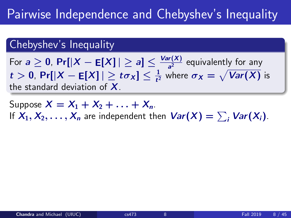#### Chebyshev's Inequality

For  $a\geq 0$ ,  $\Pr[|X-\mathsf{E}[X]|\geq a]\leq \frac{\mathsf{Var}(X)}{a^2}$  $\frac{d^{r}(x)}{a^{2}}$  equivalently for any  $t>0$ , Pr[ $|X-\mathsf{E}[X]|\geq t\sigma_X]\leq \frac{1}{t^2}$  where  $\sigma_X=\sqrt{\mathsf{Var}(X)}$  is the standard deviation of  $X$ .

Suppose  $X = X_1 + X_2 + ... + X_n$ . If  $X_1, X_2, \ldots, X_n$  are independent then  $\mathit{Var}(X) = \sum_i \mathit{Var}(X_i)$ .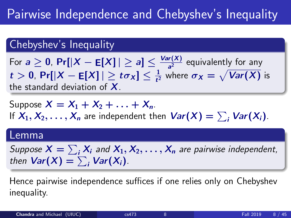#### Chebyshev's Inequality

For  $a\geq 0$ ,  $\Pr[|X-\mathsf{E}[X]|\geq a]\leq \frac{\mathsf{Var}(X)}{a^2}$  $\frac{d^{r}(x)}{a^{2}}$  equivalently for any  $t>0$ , Pr[ $|X-\mathsf{E}[X]|\geq t\sigma_X]\leq \frac{1}{t^2}$  where  $\sigma_X=\sqrt{\mathsf{Var}(X)}$  is the standard deviation of  $X$ .

Suppose  $X = X_1 + X_2 + ... + X_n$ . If  $X_1, X_2, \ldots, X_n$  are independent then  $\mathit{Var}(X) = \sum_i \mathit{Var}(X_i)$ .

#### Lemma

Suppose  $X=\sum_i X_i$  and  $X_1, X_2, \ldots, X_n$  are pairwise independent, then  $\textsf{Var}(X) = \sum_i \textsf{Var}(X_i)$ .

Hence pairwise independence suffices if one relies only on Chebyshev inequality.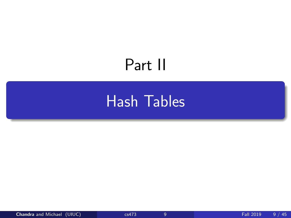# <span id="page-12-0"></span>Part II

# [Hash Tables](#page-12-0)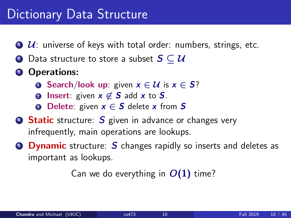#### Dictionary Data Structure

- $\bullet$   $\mathcal{U}$ : universe of keys with total order: numbers, strings, etc.
- **2** Data structure to store a subset  $S \subseteq U$
- **3** Operations:
	- **1** Search/look up: given  $x \in \mathcal{U}$  is  $x \in S$ ?
	- **2** Insert: given  $x \notin S$  add x to S.
	- **3** Delete: given  $x \in S$  delete x from S
- **6 Static** structure: S given in advance or changes very infrequently, main operations are lookups.
- **Dynamic** structure: S changes rapidly so inserts and deletes as important as lookups.

Can we do everything in  $O(1)$  time?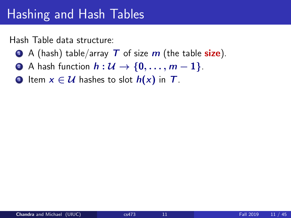## Hashing and Hash Tables

Hash Table data structure:

- $\bullet$  A (hash) table/array T of size m (the table size).
- 2 A hash function  $h: U \rightarrow \{0, \ldots, m-1\}$ .
- **3** Item  $x \in \mathcal{U}$  hashes to slot  $h(x)$  in T.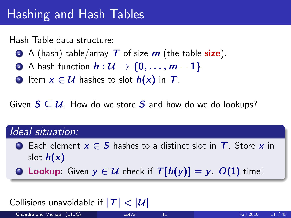# Hashing and Hash Tables

Hash Table data structure:

- $\bullet$  A (hash) table/array T of size m (the table size).
- 2 A hash function  $h: U \rightarrow \{0, \ldots, m-1\}$ .
- **3** Item  $x \in \mathcal{U}$  hashes to slot  $h(x)$  in T.

Given  $S \subset \mathcal{U}$ . How do we store S and how do we do lookups?

#### Ideal situation:

- **■** Each element  $x \in S$  hashes to a distinct slot in  $T$ . Store x in slot  $h(x)$
- **2** Lookup: Given  $y \in \mathcal{U}$  check if  $T[h(y)] = y$ .  $O(1)$  time!

#### Collisions unavoidable if  $|T| < |\mathcal{U}|$ .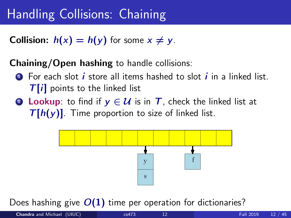# Handling Collisions: Chaining

**Collision:**  $h(x) = h(y)$  for some  $x \neq y$ .

#### Chaining/Open hashing to handle collisions:

- $\bullet$  For each slot *i* store all items hashed to slot *i* in a linked list.  $T[i]$  points to the linked list
- **2** Lookup: to find if  $y \in \mathcal{U}$  is in T, check the linked list at  $T[h(y)]$ . Time proportion to size of linked list.



Does hashing give  $O(1)$  time per operation for dictionaries?

$$
\mathbb{R}^n \times \mathbb{R}^n
$$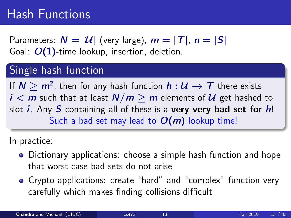## Hash Functions

Parameters:  $N = |\mathcal{U}|$  (very large),  $m = |T|$ ,  $n = |S|$ Goal:  $O(1)$ -time lookup, insertion, deletion.

#### Single hash function

If  $N\geq m^2$ , then for any hash function  $h:\mathcal{U}\rightarrow \mathcal{T}$  there exists  $i < m$  such that at least  $N/m \ge m$  elements of  $\mathcal U$  get hashed to slot *i*. Any S containing all of these is a very very bad set for  $h$ ! Such a bad set may lead to  $O(m)$  lookup time!

In practice:

- Dictionary applications: choose a simple hash function and hope that worst-case bad sets do not arise
- Crypto applications: create "hard" and "complex" function very carefully which makes finding collisions difficult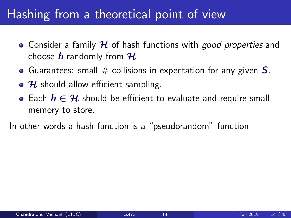# Hashing from a theoretical point of view

- Consider a family  $H$  of hash functions with *good properties* and choose  $h$  randomly from  $H$
- Guarantees: small  $\#$  collisions in expectation for any given  $S$ .
- $\bullet$  H should allow efficient sampling.
- Each  $h \in \mathcal{H}$  should be efficient to evaluate and require small memory to store.

In other words a hash function is a "pseudorandom" function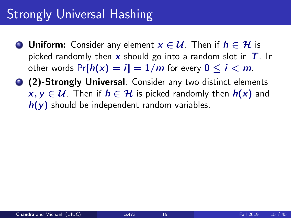# Strongly Universal Hashing

- **1** Uniform: Consider any element  $x \in \mathcal{U}$ . Then if  $h \in \mathcal{H}$  is picked randomly then x should go into a random slot in  $T$ . In other words  $Pr[h(x) = i] = 1/m$  for every  $0 \le i \le m$ .
- **2 (2)-Strongly Universal:** Consider any two distinct elements  $x, y \in \mathcal{U}$ . Then if  $h \in \mathcal{H}$  is picked randomly then  $h(x)$  and  $h(y)$  should be independent random variables.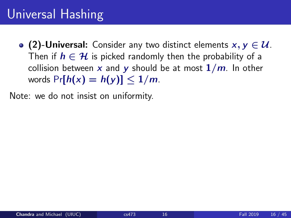# Universal Hashing

• (2)-Universal: Consider any two distinct elements  $x, y \in \mathcal{U}$ . Then if  $h \in \mathcal{H}$  is picked randomly then the probability of a collision between x and y should be at most  $1/m$ . In other words  $Pr[h(x) = h(y)] \leq 1/m$ .

Note: we do not insist on uniformity.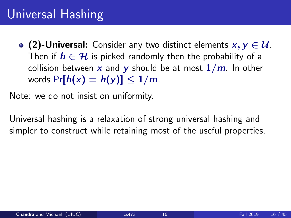# Universal Hashing

• (2)-Universal: Consider any two distinct elements  $x, y \in \mathcal{U}$ . Then if  $h \in \mathcal{H}$  is picked randomly then the probability of a collision between x and y should be at most  $1/m$ . In other words  $Pr[h(x) = h(y)] \leq 1/m$ .

Note: we do not insist on uniformity.

Universal hashing is a relaxation of strong universal hashing and simpler to construct while retaining most of the useful properties.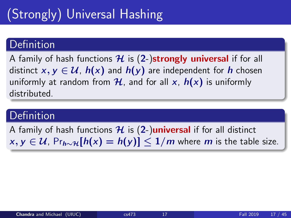# (Strongly) Universal Hashing

#### Definition

A family of hash functions  $\mathcal H$  is (2-)strongly universal if for all distinct  $x, y \in U$ ,  $h(x)$  and  $h(y)$  are independent for h chosen uniformly at random from  $\mathcal{H}$ , and for all x,  $h(x)$  is uniformly distributed.

#### **Definition**

A family of hash functions  $\mathcal{H}$  is (2-)**universal** if for all distinct  $x, y \in \mathcal{U}$ , Pr<sub>h∼4</sub>[h(x) = h(y)]  $\leq 1/m$  where m is the table size.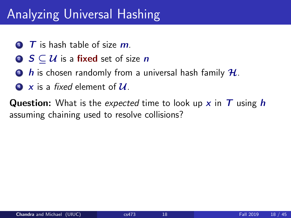## Analyzing Universal Hashing

- $\bullet$   $\top$  is hash table of size  $m$ .
- **2**  $S \subset \mathcal{U}$  is a fixed set of size *n*
- $\bullet$  h is chosen randomly from a universal hash family  $\mathcal{H}$ .
- <sup>4</sup> x is a fixed element of U.

**Question:** What is the expected time to look up x in  $T$  using h assuming chaining used to resolve collisions?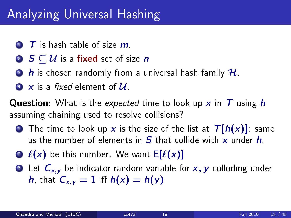## Analyzing Universal Hashing

- $\bullet$   $\top$  is hash table of size  $m$ .
- **2**  $S \subset \mathcal{U}$  is a fixed set of size *n*
- $\bullet$  h is chosen randomly from a universal hash family  $\mathcal{H}$ .
- <sup>4</sup> x is a fixed element of U.

**Question:** What is the expected time to look up x in  $T$  using h assuming chaining used to resolve collisions?

- **1** The time to look up x is the size of the list at  $T[h(x)]$ : same as the number of elements in  $S$  that collide with x under  $h$ .
- **2**  $\ell(x)$  be this number. We want  $E[\ell(x)]$
- **3** Let  $C_{x,y}$  be indicator random variable for  $x, y$  colloding under h, that  $C_{x,y} = 1$  iff  $h(x) = h(y)$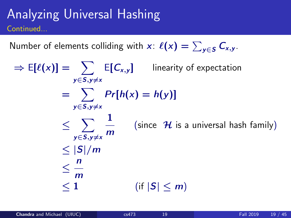#### Analyzing Universal Hashing Continued...

Number of elements colliding with  $\mathsf{x}\colon\ell(\mathsf{x}) = \sum_{\mathsf{y}\in\mathsf{S}} \mathsf{C}_{\mathsf{x},\mathsf{y}}.$ 

 $\Rightarrow$  E[ $\ell(x)$ ]  $=$   $\sum$  E[ $C_{x,y}$ ] linearity of expectation  $y \in S, y \neq x$  $= \sum Pr[h(x) = h(y)]$  $v \in S$ ,  $v \neq x$ ≤ X y∈S,y≠× 1 m (since  $H$  is a universal hash family)  $<$   $|S|/m$ ≤ n m  $\leq 1$  (if  $|S| \leq m$ )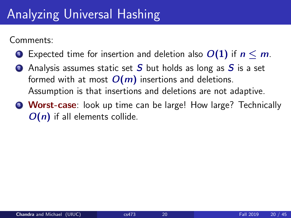# Analyzing Universal Hashing

Comments:

- **1** Expected time for insertion and deletion also  $O(1)$  if  $n \le m$ .
- **2** Analysis assumes static set  $S$  but holds as long as  $S$  is a set formed with at most  $O(m)$  insertions and deletions. Assumption is that insertions and deletions are not adaptive.
- **3 Worst-case**: look up time can be large! How large? Technically  $O(n)$  if all elements collide.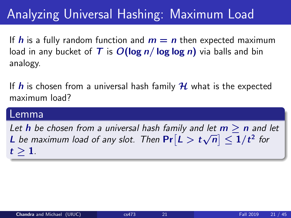If h is a fully random function and  $m = n$  then expected maximum load in any bucket of T is  $O(\log n / \log \log n)$  via balls and bin analogy.

If  $h$  is chosen from a universal hash family  $H$  what is the expected maximum load?

#### Lemma

Let h be chosen from a universal hash family and let  $m > n$  and let **L** be maximum load of any slot. Then  $Pr[L > t]$ √  $\left| \overline{n}\right| \leq 1/t^{2}$  for  $t > 1$ .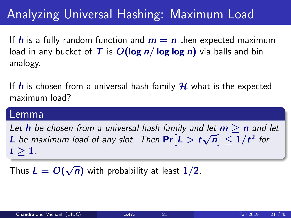If h is a fully random function and  $m = n$  then expected maximum load in any bucket of T is  $O(\log n / \log \log n)$  via balls and bin analogy.

If h is chosen from a universal hash family  $H$  what is the expected maximum load?

#### Lemma

Let h be chosen from a universal hash family and let  $m > n$  and let **L** be maximum load of any slot. Then  $Pr[L > t]$ √  $\left| \overline{n}\right| \leq 1/t^{2}$  for  $t > 1$ .

Thus  $L = O($ √  $\overline{n})$  with probability at least  $1/2$ .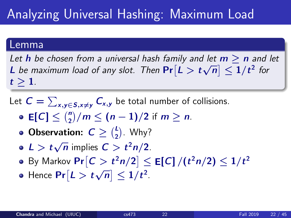#### Lemma

Let **h** be chosen from a universal hash family and let  $m > n$  and let **L** be maximum load of any slot. Then  $Pr[L > t]$ √  $\left| \overline{n}\right| \leq1/t^{2}$  for  $t \geq 1$ .

- Let  $\textstyle {\cal C} = \sum_{\textsf{x,y} \in {\mathcal S}, \textsf{x} \neq \textsf{y}} {\cal C}_{\textsf{x,y}}$  be total number of collisions.
	- **E[C]**  $\leq {n \choose 2}/m \leq (n-1)/2$  if  $m \geq n$ .
	- **Observation:**  $C \geq {L \choose 2}$ . Why?
	- $L > t$ √  $\overline{n}$  implies  $C > t^2n/2$ .
	- By Markov  $\Pr\bigl[C>t^2n/2\bigr]\leq \mathsf{E}[{\mathsf C}]\,/(t^2n/2)\leq 1/t^2$
	- Hence  $\Pr[L > t]$ √  $|\overline{n}| \leq 1/t^2$ .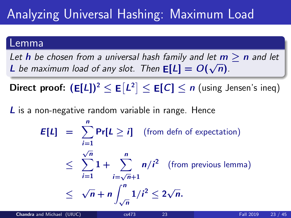#### Lemma

Let **h** be chosen from a universal hash family and let  $m > n$  and let **L** be maximum load of any slot. Then  $E[L] = O(\frac{E}{E})$ √  $\overline{n}$ ).

 $\mathsf{Direct\ proof}\colon(\mathsf{E}[\mathsf{L}])^2\leq \mathsf{E}[\mathsf{L}^2]\leq \mathsf{E}[\mathsf{C}]\leq n\ (\mathsf{using\ Jensen\ 's\ ineq})$ 

L is a non-negative random variable in range. Hence

 $E[L] = \sum_{i=1}^{n} Pr[L \geq i]$  (from defn of expectation)  $i=1$ ≤  $\frac{\sqrt{n}}{2}$  1 +  $\frac{n}{2}$  $i=1$   $i=$  $\frac{2}{\sqrt{n}}+1$  $n/i^2$  (from previous lemma) ≤ √  $\overline{n}$  + n  $\int_0^n$  $\int_{\sqrt{n}}^n 1/i^2 \leq 2\sqrt{n}$ n.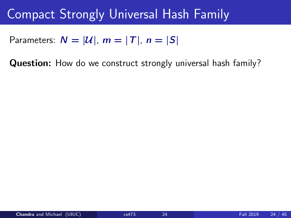### Compact Strongly Universal Hash Family

Parameters:  $N = |\mathcal{U}|$ ,  $m = |T|$ ,  $n = |S|$ 

Question: How do we construct strongly universal hash family?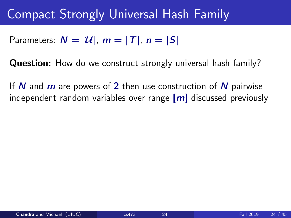#### Compact Strongly Universal Hash Family

Parameters:  $N = |\mathcal{U}|$ ,  $m = |T|$ ,  $n = |S|$ 

Question: How do we construct strongly universal hash family?

If N and  $m$  are powers of 2 then use construction of N pairwise independent random variables over range  $[m]$  discussed previously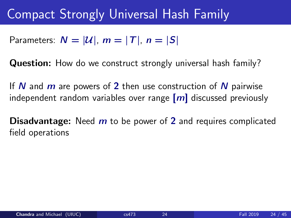#### Compact Strongly Universal Hash Family

Parameters:  $N = |\mathcal{U}|$ ,  $m = |T|$ ,  $n = |S|$ 

Question: How do we construct strongly universal hash family?

If N and  $m$  are powers of 2 then use construction of N pairwise independent random variables over range  $[m]$  discussed previously

**Disadvantage:** Need  $m$  to be power of 2 and requires complicated field operations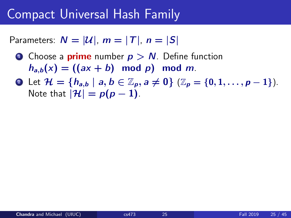#### Compact Universal Hash Family

Parameters:  $N = |\mathcal{U}|$ ,  $m = |T|$ ,  $n = |S|$ 

- **1** Choose a **prime** number  $p > N$ . Define function  $h_{a,b}(x) = ((ax + b) \mod p) \mod m$ .
- **2** Let  $\mathcal{H} = \{h_{a,b} \mid a, b \in \mathbb{Z}_p, a \neq 0\}$  ( $\mathbb{Z}_p = \{0, 1, \ldots, p-1\}$ ). Note that  $|\mathcal{H}| = p(p-1)$ .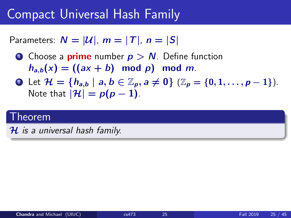#### Compact Universal Hash Family

Parameters:  $N = |\mathcal{U}|$ ,  $m = |T|$ ,  $n = |S|$ 

- **1** Choose a **prime** number  $p > N$ . Define function  $h_{a,b}(x) = ((ax + b) \mod p) \mod m$ .
- 2 Let  $\mathcal{H} = \{h_{a,b} \mid a, b \in \mathbb{Z}_p, a \neq 0\}$  ( $\mathbb{Z}_p = \{0, 1, \ldots, p-1\}$ ). Note that  $|\mathcal{H}| = p(p-1)$ .

#### Theorem

 $H$  is a universal hash family.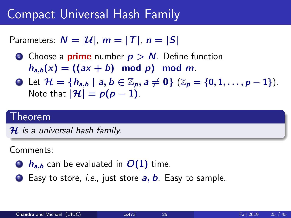## Compact Universal Hash Family

Parameters:  $N = |\mathcal{U}|$ ,  $m = |T|$ ,  $n = |S|$ 

- **1** Choose a **prime** number  $p > N$ . Define function  $h_{a,b}(x) = ((ax + b) \mod p) \mod m$ .
- **2** Let  $\mathcal{H} = \{h_{a,b} \mid a, b \in \mathbb{Z}_p, a \neq 0\}$  ( $\mathbb{Z}_p = \{0, 1, \ldots, p-1\}$ ). Note that  $|\mathcal{H}| = p(p-1)$ .

### Theorem

 $H$  is a universal hash family.

Comments:

- $\bullet$   $h_{ab}$  can be evaluated in  $O(1)$  time.
- **2** Easy to store, *i.e.*, just store  $a, b$ . Easy to sample.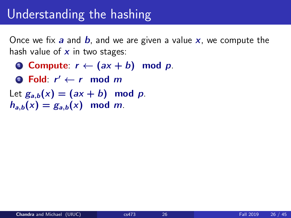## Understanding the hashing

Once we fix a and b, and we are given a value  $x$ , we compute the hash value of  $x$  in two stages:

- **0 Compute:**  $r \leftarrow (ax + b) \mod p$ .
- 2 Fold:  $r' \leftarrow r \mod m$

Let  $g_{a,b}(x) = (ax + b) \mod p$ .  $h_{a,b}(x) = g_{a,b}(x) \mod m$ .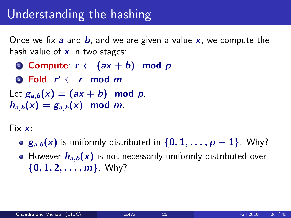## Understanding the hashing

Once we fix a and b, and we are given a value  $x$ , we compute the hash value of  $x$  in two stages:

- **0 Compute:**  $r \leftarrow (ax + b) \mod p$ .
- 2 Fold:  $r' \leftarrow r \mod m$
- Let  $g_{a,b}(x) = (ax + b) \mod p$ .  $h_{a,b}(x) = g_{a,b}(x) \mod m$ .

Fix  $x$ :

- $g_{a,b}(x)$  is uniformly distributed in  $\{0, 1, \ldots, p-1\}$ . Why?
- However  $h_{a,b}(x)$  is not necessarily uniformly distributed over  $\{0, 1, 2, \ldots, m\}$ . Why?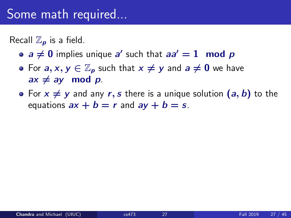## Some math required...

Recall  $\mathbb{Z}_p$  is a field.

- $a \neq 0$  implies unique a' such that  $aa' = 1 \mod p$
- For  $a, x, y \in \mathbb{Z}_p$  such that  $x \neq y$  and  $a \neq 0$  we have  $ax \neq ay \mod p$ .
- For  $x \neq y$  and any r, s there is a unique solution  $(a, b)$  to the equations  $ax + b = r$  and  $ay + b = s$ .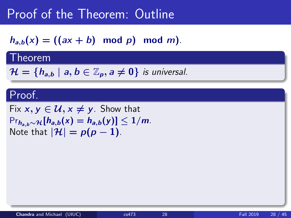$h_{a,b}(x) = ((ax + b) \mod p) \mod m)$ .

### **Theorem**

 $\mathcal{H} = \{h_{a,b} \mid a, b \in \mathbb{Z}_p, a \neq 0\}$  is universal.

### Proof.

Fix  $x, y \in \mathcal{U}, x \neq y$ . Show that  $Pr_{h_{a,b}\sim\mathcal{H}}[h_{a,b}(x) = h_{a,b}(y)] \leq 1/m$ . Note that  $|\mathcal{H}| = p(p-1)$ .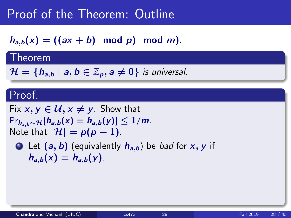$h_{a,b}(x) = ((ax + b) \mod p) \mod m).$ 

### Theorem

 $\mathcal{H} = \{h_{a,b} \mid a, b \in \mathbb{Z}_p, a \neq 0\}$  is universal.

### Proof.

Fix  $x, y \in \mathcal{U}, x \neq y$ . Show that  $Pr_{h_{a,b}\sim\mathcal{H}}[h_{a,b}(x) = h_{a,b}(y)] \leq 1/m$ . Note that  $|\mathcal{H}| = p(p-1)$ .

**1** Let  $(a, b)$  (equivalently  $h_{a,b}$ ) be *bad* for x, y if  $h_{a,b}(x) = h_{a,b}(y)$ .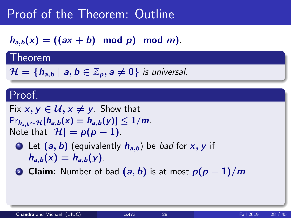$h_{a,b}(x) = ((ax + b) \mod p) \mod m).$ 

### Theorem

 $\mathcal{H} = \{h_{a,b} \mid a, b \in \mathbb{Z}_p, a \neq 0\}$  is universal.

### Proof.

Fix  $x, y \in \mathcal{U}, x \neq y$ . Show that  $Pr_{h_{a,b}\sim\mathcal{H}}[h_{a,b}(x) = h_{a,b}(y)] \leq 1/m$ . Note that  $|\mathcal{H}| = p(p-1)$ .

- **1** Let  $(a, b)$  (equivalently  $h_{a,b}$ ) be *bad* for x, y if  $h_{a,b}(x) = h_{a,b}(y)$ .
- **2 Claim:** Number of bad  $(a, b)$  is at most  $p(p-1)/m$ .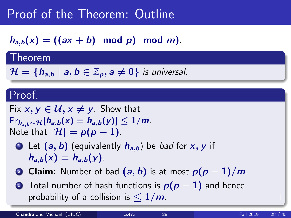$h_{a,b}(x) = ((ax + b) \mod p) \mod m).$ 

### Theorem

 $\mathcal{H} = \{h_{a,b} \mid a, b \in \mathbb{Z}_p, a \neq 0\}$  is universal.

### Proof.

Fix  $x, y \in \mathcal{U}, x \neq y$ . Show that  $Pr_{h_{a,b}\sim\mathcal{H}}[h_{a,b}(x) = h_{a,b}(y)] \leq 1/m$ . Note that  $|\mathcal{H}| = p(p-1)$ .

- **1** Let  $(a, b)$  (equivalently  $h_{a,b}$ ) be *bad* for x, y if  $h_{a,b}(x) = h_{a,b}(y)$ .
- **2 Claim:** Number of bad  $(a, b)$  is at most  $p(p-1)/m$ .
- **3** Total number of hash functions is  $p(p-1)$  and hence probability of a collision is  $\leq 1/m$ .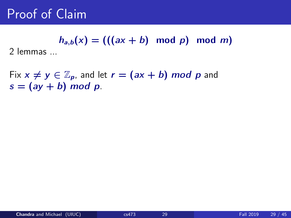# $h_{a,b}(x) = (((ax + b) \mod p) \mod m)$

2 lemmas ...

Fix  $x \neq y \in \mathbb{Z}_p$ , and let  $r = (ax + b) \mod p$  and  $s = (ay + b) \mod p$ .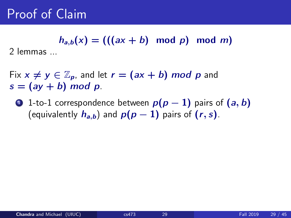$h_{a,b}(x) = (((ax + b) \mod p) \mod m)$ 

2 lemmas ...

Fix  $x \neq y \in \mathbb{Z}_p$ , and let  $r = (ax + b) \mod p$  and  $s = (ay + b) \mod p$ .

**■** 1-to-1 correspondence between  $p(p-1)$  pairs of  $(a, b)$ (equivalently  $h_{a,b}$ ) and  $p(p-1)$  pairs of  $(r, s)$ .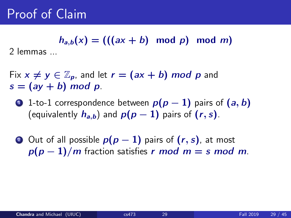$h_{a,b}(x) = (((ax + b) \mod p) \mod m)$ 

2 lemmas ...

Fix  $x \neq y \in \mathbb{Z}_p$ , and let  $r = (ax + b) \mod p$  and  $s = (ay + b) \mod p$ .

**1**-to-1 correspondence between  $p(p-1)$  pairs of  $(a, b)$ (equivalently  $h_{a,b}$ ) and  $p(p-1)$  pairs of  $(r, s)$ .

2 Out of all possible  $p(p-1)$  pairs of  $(r, s)$ , at most  $p(p-1)/m$  fraction satisfies r mod  $m = s$  mod m.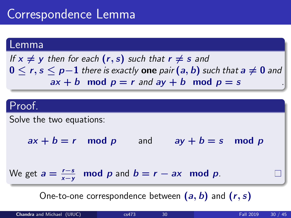## Correspondence Lemma

### Lemma

If  $x \neq y$  then for each  $(r, s)$  such that  $r \neq s$  and  $0 \le r, s \le p-1$  there is exactly one pair  $(a, b)$  such that  $a \neq 0$  and  $ax + b \mod p = r$  and  $ay + b \mod p = s$ 



One-to-one correspondence between  $(a, b)$  and  $(r, s)$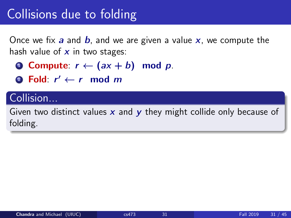# Collisions due to folding

Once we fix a and b, and we are given a value  $x$ , we compute the hash value of  $x$  in two stages:

- **O** Compute:  $r \leftarrow (ax + b) \mod p$ .
- 2 Fold:  $r' \leftarrow r \mod m$

### Collision...

Given two distinct values  $x$  and  $y$  they might collide only because of folding.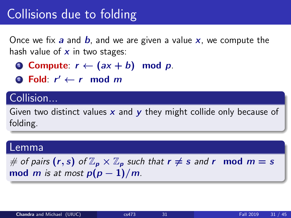# Collisions due to folding

Once we fix  $a$  and  $b$ , and we are given a value  $x$ , we compute the hash value of  $x$  in two stages:

- **0 Compute:**  $r \leftarrow (ax + b) \mod p$ .
- 2 Fold:  $r' \leftarrow r \mod m$

### Collision...

Given two distinct values x and y they might collide only because of folding.

### Lemma

# of pairs  $(r, s)$  of  $\mathbb{Z}_p \times \mathbb{Z}_p$  such that  $r \neq s$  and r mod  $m = s$ mod *m* is at most  $p(p-1)/m$ .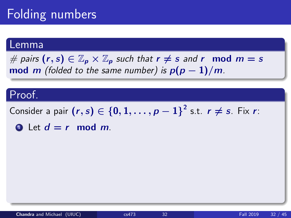# Folding numbers

### Lemma

# pairs  $(r, s) \in \mathbb{Z}_p \times \mathbb{Z}_p$  such that  $r \neq s$  and r mod  $m = s$ mod m (folded to the same number) is  $p(p-1)/m$ .

### Proof.

Consider a pair  $(r,s)\in\left\{ 0,1,\ldots,p-1\right\} ^{2}$  s.t.  $r\neq s$ . Fix  $r$ :

**1** Let  $d = r$  mod m.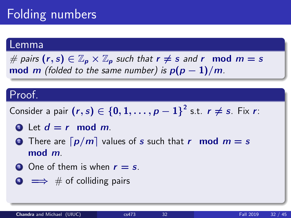# Folding numbers

### Lemma

# pairs  $(r, s) \in \mathbb{Z}_p \times \mathbb{Z}_p$  such that  $r \neq s$  and r mod  $m = s$ mod m (folded to the same number) is  $p(p-1)/m$ .

### Proof.

Consider a pair  $(r,s)\in\left\{ 0,1,\ldots,p-1\right\} ^{2}$  s.t.  $r\neq s$ . Fix  $r$ :

- **1** Let  $d = r$  mod m.
- **2** There are  $\lceil p/m \rceil$  values of s such that r mod  $m = s$ mod m.
- **3** One of them is when  $r = s$ .
- $\leftrightarrow$   $\#$  of colliding pairs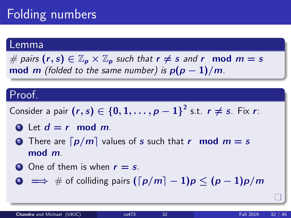# Folding numbers

### Lemma

# pairs  $(r, s) \in \mathbb{Z}_p \times \mathbb{Z}_p$  such that  $r \neq s$  and r mod  $m = s$ mod m (folded to the same number) is  $p(p-1)/m$ .

### Proof.

Consider a pair  $(r,s)\in\left\{ 0,1,\ldots,p-1\right\} ^{2}$  s.t.  $r\neq s$ . Fix  $r$ :

- **1** Let  $d = r$  mod m.
- **2** There are  $\lceil p/m \rceil$  values of s such that r mod  $m = s$ mod m.
- **3** One of them is when  $r = s$ .

 $\bullet \implies \#$  of colliding pairs  $(\lceil p/m \rceil - 1)p \leq (p-1)p/m$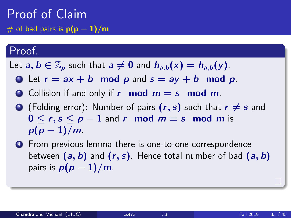Proof of Claim # of bad pairs is  $p(p-1)/m$ 

### Proof.

Let  $a, b \in \mathbb{Z}_p$  such that  $a \neq 0$  and  $h_{a,b}(x) = h_{a,b}(y)$ .

- 1 Let  $r = ax + b \mod p$  and  $s = ay + b \mod p$ .
- Collision if and only if r mod  $m = s$  mod m.
- **3** (Folding error): Number of pairs  $(r, s)$  such that  $r \neq s$  and  $0 \le r, s \le p-1$  and r mod  $m = s$  mod m is  $p(p-1)/m$ .
- <sup>4</sup> From previous lemma there is one-to-one correspondence between  $(a, b)$  and  $(r, s)$ . Hence total number of bad  $(a, b)$ pairs is  $p(p-1)/m$ .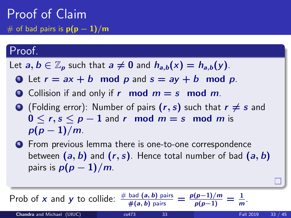Proof of Claim # of bad pairs is  $p(p-1)/m$ 

### Proof.

Let  $a, b \in \mathbb{Z}_p$  such that  $a \neq 0$  and  $h_{a,b}(x) = h_{a,b}(y)$ .

- 1 Let  $r = ax + b \mod p$  and  $s = ay + b \mod p$ .
- Collision if and only if r mod  $m = s$  mod m.
- **3** (Folding error): Number of pairs  $(r, s)$  such that  $r \neq s$  and  $0 \le r, s \le p-1$  and r mod  $m = s$  mod m is  $p(p-1)/m$ .
- <sup>4</sup> From previous lemma there is one-to-one correspondence between  $(a, b)$  and  $(r, s)$ . Hence total number of bad  $(a, b)$ pairs is  $p(p-1)/m$ .

| Prob of x and y to collide: $\frac{\# \text{ bad}(a, b) \text{ pairs}}{\#(a, b) \text{ pairs}} = \frac{p(p-1)/m}{p(p-1)} = \frac{1}{m}$ . |       |                  |          |
|-------------------------------------------------------------------------------------------------------------------------------------------|-------|------------------|----------|
| $Chandra$ and Michael $(HHIC)$                                                                                                            | cs473 | <b>Eall 2019</b> | $-33/45$ |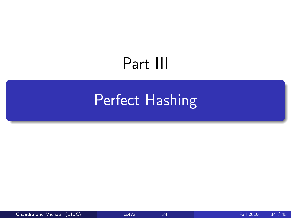# Part III

# <span id="page-55-0"></span>[Perfect Hashing](#page-55-0)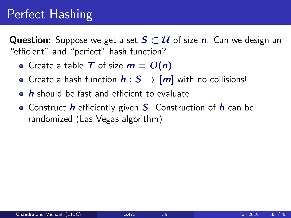# Perfect Hashing

**Question:** Suppose we get a set  $S \subset \mathcal{U}$  of size n. Can we design an "efficient" and "perfect" hash function?

- Create a table T of size  $m = O(n)$ .
- Create a hash function  $h : S \rightarrow [m]$  with no collisions!
- $\bullet$  h should be fast and efficient to evaluate
- Construct  $h$  efficiently given  $S$ . Construction of  $h$  can be randomized (Las Vegas algorithm)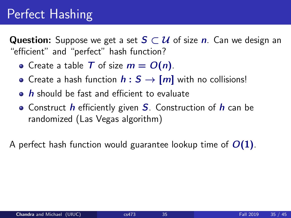# Perfect Hashing

**Question:** Suppose we get a set  $S \subset \mathcal{U}$  of size n. Can we design an "efficient" and "perfect" hash function?

- Create a table T of size  $m = O(n)$ .
- Create a hash function  $h : S \rightarrow [m]$  with no collisions!
- $\bullet$  h should be fast and efficient to evaluate
- Construct  $h$  efficiently given  $S$ . Construction of  $h$  can be randomized (Las Vegas algorithm)

A perfect hash function would guarantee lookup time of  $O(1)$ .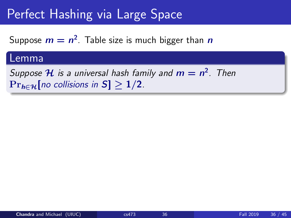# Perfect Hashing via Large Space

Suppose  $m=n^2$ . Table size is much bigger than  $\bm{n}$ 

### Lemma

Suppose  ${\mathcal H}$  is a universal hash family and  $m=n^2$ . Then  $Pr_{h \in \mathcal{H}}[no$  collisions in  $S] > 1/2$ .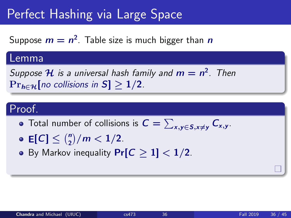# Perfect Hashing via Large Space

Suppose  $m=n^2$ . Table size is much bigger than  $\bm{n}$ 

### Lemma

Suppose  ${\mathcal H}$  is a universal hash family and  $m=n^2$ . Then  $Pr_{h \in \mathcal{H}}[no$  collisions in  $S] > 1/2$ .

### Proof.

- Total number of collisions is  $\textstyle C = \sum_{\textsf{x,y} \in \textsf{S}, \textsf{x} \neq \textsf{y}}\textit{C}_{\textsf{x,y}}$ .
- $E[C] \leq {n \choose 2}/m < 1/2.$
- By Markov inequality  $Pr[C \ge 1] < 1/2$ .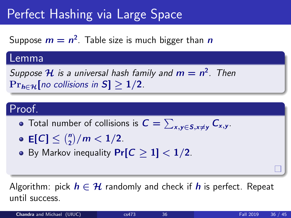# Perfect Hashing via Large Space

Suppose  $m=n^2$ . Table size is much bigger than  $\bm{n}$ 

### Lemma

Suppose  ${\mathcal H}$  is a universal hash family and  $m=n^2$ . Then  $Pr_{h \in \mathcal{H}}[no$  collisions in  $S] > 1/2$ .

## Proof.

- Total number of collisions is  $\textstyle C = \sum_{\textsf{x,y} \in \textsf{S}, \textsf{x} \neq \textsf{y}}\textit{C}_{\textsf{x,y}}$ .
- $E[C] \leq {n \choose 2}/m < 1/2.$
- By Markov inequality  $Pr[C \ge 1] < 1/2$ .

Algorithm: pick  $h \in \mathcal{H}$  randomly and check if h is perfect. Repeat until success.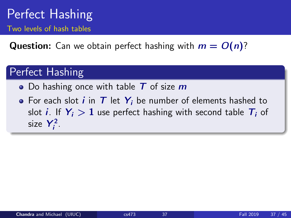## Perfect Hashing Two levels of hash tables

**Question:** Can we obtain perfect hashing with  $m = O(n)$ ?

## Perfect Hashing

- Do hashing once with table  $T$  of size  $m$
- For each slot *i* in  $T$  let  $Y_i$  be number of elements hashed to slot *i*. If  $Y_i > 1$  use perfect hashing with second table  $T_i$  of size  $Y_i^2$ .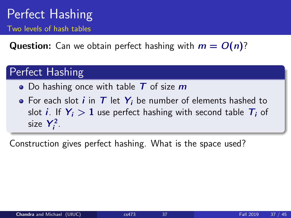## Perfect Hashing Two levels of hash tables

**Question:** Can we obtain perfect hashing with  $m = O(n)$ ?

## Perfect Hashing

- Do hashing once with table  $T$  of size  $m$
- For each slot *i* in  $T$  let  $Y_i$  be number of elements hashed to slot *i*. If  $Y_i > 1$  use perfect hashing with second table  $T_i$  of size  $Y_i^2$ .

Construction gives perfect hashing. What is the space used?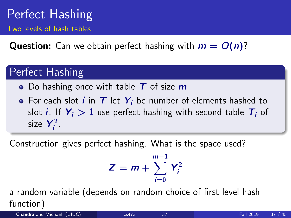## Perfect Hashing Two levels of hash tables

**Question:** Can we obtain perfect hashing with  $m = O(n)$ ?

## Perfect Hashing

- Do hashing once with table  $T$  of size  $m$
- For each slot *i* in  $T$  let  $Y_i$  be number of elements hashed to slot *i*. If  $Y_i > 1$  use perfect hashing with second table  $T_i$  of size  $Y_i^2$ .

Construction gives perfect hashing. What is the space used?

$$
Z = m + \sum_{i=0}^{m-1} Y_i^2
$$

a random variable (depends on random choice of first level hash function)

Chandra and Michael (UIUC) [cs473](#page-0-0) 37 Fall 2019 37 / 45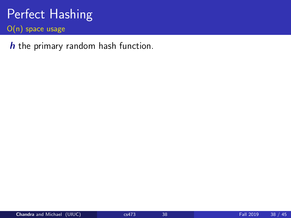h the primary random hash function.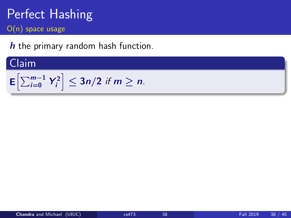h the primary random hash function.

## Claim

$$
\mathsf{E}\left[\sum_{i=0}^{m-1} Y_i^2\right] \leq 3n/2 \text{ if } m \geq n.
$$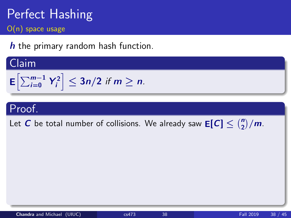h the primary random hash function.

## Claim

$$
\mathsf{E}\left[\sum_{i=0}^{m-1}Y_i^2\right]\leq 3n/2 \text{ if } m\geq n.
$$

## Proof.

Let  $C$  be total number of collisions. We already saw  $\mathsf{E}[C] \leq \binom{n}{2}/m$ .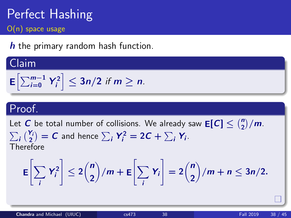$h$  the primary random hash function.

## Claim

$$
\mathsf{E}\left[\sum_{i=0}^{m-1} Y_i^2\right] \leq 3n/2 \text{ if } m \geq n.
$$

## Proof.

Let  $C$  be total number of collisions. We already saw  $\mathsf{E}[C] \leq \binom{n}{2}/m$ .  $\sum_i \binom{\mathsf{Y}_i}{2} = \mathsf{C}$  and hence  $\sum_i \mathsf{Y}_i^2 = 2\mathsf{C} + \sum_i \mathsf{Y}_i$ . **Therefore** 

$$
\mathsf{E}\bigg[\sum_i Y_i^2\bigg] \leq 2\binom{n}{2}/m + \mathsf{E}\bigg[\sum_i Y_i\bigg] = 2\binom{n}{2}/m + n \leq 3n/2.
$$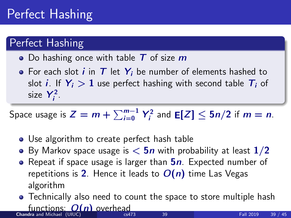# Perfect Hashing

## Perfect Hashing

- Do hashing once with table  $T$  of size  $m$
- For each slot  $i$  in  $T$  let  $Y_i$  be number of elements hashed to slot *i*. If  $Y_i > 1$  use perfect hashing with second table  $T_i$  of size  $Y_i^2$ .

Space usage is  $Z = m + \sum_{i=0}^{m-1} Y_i^2$  and  $\mathsf{E}[Z] \le 5n/2$  if  $m = n$ .

- Use algorithm to create perfect hash table
- By Markov space usage is  $< 5n$  with probability at least  $1/2$
- Repeat if space usage is larger than  $5n$ . Expected number of repetitions is 2. Hence it leads to  $O(n)$  time Las Vegas algorithm
- Technically also need to count the space to store multiple hash functions:  $O(n)$  overhead **Chandra and Michael (UIUC)** [cs473](#page-0-0) 39  $\frac{39}{2}$  39 Fall 2019 39 / 45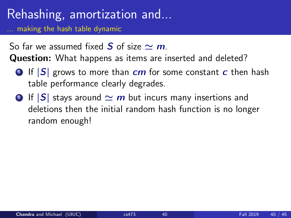# Rehashing, amortization and...

making the hash table dynamic

So far we assumed fixed S of size  $\sim m$ .

Question: What happens as items are inserted and deleted?

- **1 If**  $|S|$  **grows to more than cm for some constant c then hash** table performance clearly degrades.
- **2** If  $|S|$  stays around  $\simeq m$  but incurs many insertions and deletions then the initial random hash function is no longer random enough!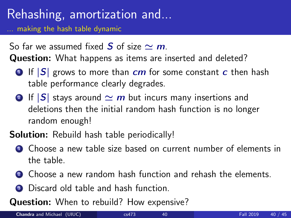# Rehashing, amortization and...

making the hash table dynamic

So far we assumed fixed S of size  $\sim m$ .

Question: What happens as items are inserted and deleted?

- **1 If**  $|S|$  **grows to more than cm for some constant c then hash** table performance clearly degrades.
- **2** If  $|S|$  stays around  $\simeq m$  but incurs many insertions and deletions then the initial random hash function is no longer random enough!
- **Solution:** Rebuild hash table periodically!
	- **1** Choose a new table size based on current number of elements in the table.
	- **2** Choose a new random hash function and rehash the elements.
	- **3** Discard old table and hash function

Question: When to rebuild? How expensive?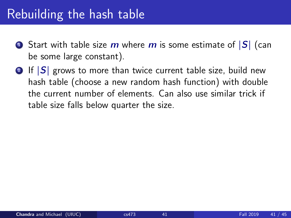## Rebuilding the hash table

- **1** Start with table size m where m is some estimate of  $|S|$  (can be some large constant).
- **2** If  $|S|$  grows to more than twice current table size, build new hash table (choose a new random hash function) with double the current number of elements. Can also use similar trick if table size falls below quarter the size.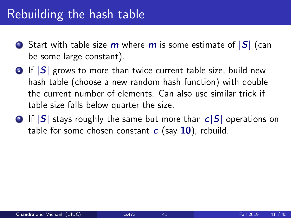### Rebuilding the hash table

- **1** Start with table size m where m is some estimate of  $|S|$  (can be some large constant).
- $\bullet$  If  $|S|$  grows to more than twice current table size, build new hash table (choose a new random hash function) with double the current number of elements. Can also use similar trick if table size falls below quarter the size.
- **3** If  $|S|$  stays roughly the same but more than  $c|S|$  operations on table for some chosen constant  $c$  (say 10), rebuild.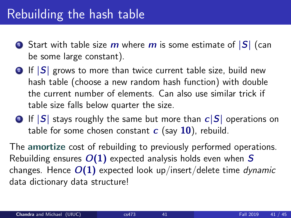### Rebuilding the hash table

- **1** Start with table size m where m is some estimate of  $|S|$  (can be some large constant).
- **2** If  $|S|$  grows to more than twice current table size, build new hash table (choose a new random hash function) with double the current number of elements. Can also use similar trick if table size falls below quarter the size.
- **3** If  $|S|$  stays roughly the same but more than  $c|S|$  operations on table for some chosen constant  $c$  (say 10), rebuild.

The amortize cost of rebuilding to previously performed operations. Rebuilding ensures  $O(1)$  expected analysis holds even when S changes. Hence  $O(1)$  expected look up/insert/delete time dynamic data dictionary data structure!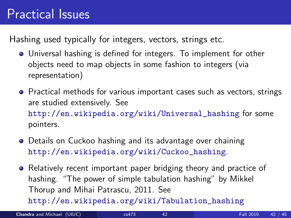### Practical Issues

Hashing used typically for integers, vectors, strings etc.

- Universal hashing is defined for integers. To implement for other objects need to map objects in some fashion to integers (via representation)
- Practical methods for various important cases such as vectors, strings are studied extensively. See [http://en.wikipedia.org/wiki/Universal\\_hashing](http://en.wikipedia.org/wiki/Universal_hashing) for some pointers.
- **•** Details on Cuckoo hashing and its advantage over chaining [http://en.wikipedia.org/wiki/Cuckoo\\_hashing](http://en.wikipedia.org/wiki/Cuckoo_hashing).
- **•** Relatively recent important paper bridging theory and practice of hashing. "The power of simple tabulation hashing" by Mikkel Thorup and Mihai Patrascu, 2011. See [http://en.wikipedia.org/wiki/Tabulation\\_hashing](http://en.wikipedia.org/wiki/Tabulation_hashing)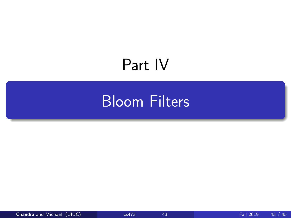# <span id="page-75-0"></span>Part IV

## [Bloom Filters](#page-75-0)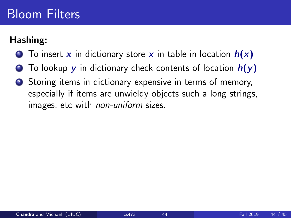#### Hashing:

- **1** To insert x in dictionary store x in table in location  $h(x)$
- **2** To lookup y in dictionary check contents of location  $h(y)$
- <sup>3</sup> Storing items in dictionary expensive in terms of memory, especially if items are unwieldy objects such a long strings, images, etc with non-uniform sizes.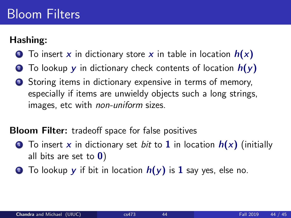#### Hashing:

- **1** To insert x in dictionary store x in table in location  $h(x)$
- **2** To lookup y in dictionary check contents of location  $h(y)$
- **3** Storing items in dictionary expensive in terms of memory, especially if items are unwieldy objects such a long strings, images, etc with non-uniform sizes.

#### **Bloom Filter:** tradeoff space for false positives

- **1** To insert x in dictionary set bit to 1 in location  $h(x)$  (initially all bits are set to  $\mathbf{0}$ )
- **2** To lookup **y** if bit in location  $h(y)$  is 1 say yes, else no.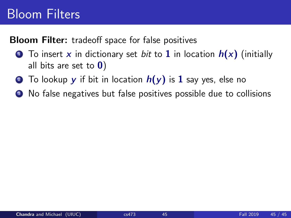**Bloom Filter:** tradeoff space for false positives

- **1** To insert x in dictionary set bit to 1 in location  $h(x)$  (initially all bits are set to  $\mathbf{0}$ )
- **2** To lookup y if bit in location  $h(y)$  is 1 say yes, else no
- <sup>3</sup> No false negatives but false positives possible due to collisions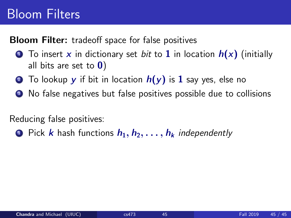**Bloom Filter:** tradeoff space for false positives

- **1** To insert x in dictionary set *bit* to **1** in location  $h(x)$  (initially all bits are set to  $\mathbf{0}$ )
- **2** To lookup y if bit in location  $h(y)$  is 1 say yes, else no
- **3** No false negatives but false positives possible due to collisions

Reducing false positives:

**1** Pick k hash functions  $h_1, h_2, \ldots, h_k$  independently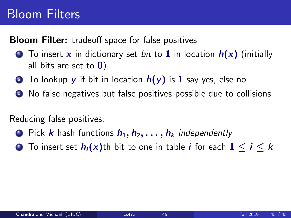**Bloom Filter:** tradeoff space for false positives

- **1** To insert x in dictionary set *bit* to **1** in location  $h(x)$  (initially all bits are set to  $\mathbf{0}$ )
- **2** To lookup y if bit in location  $h(y)$  is 1 say yes, else no
- **3** No false negatives but false positives possible due to collisions

Reducing false positives:

- **1** Pick k hash functions  $h_1, h_2, \ldots, h_k$  independently
- **2** To insert set  $h_i(x)$ th bit to one in table *i* for each  $1 \le i \le k$